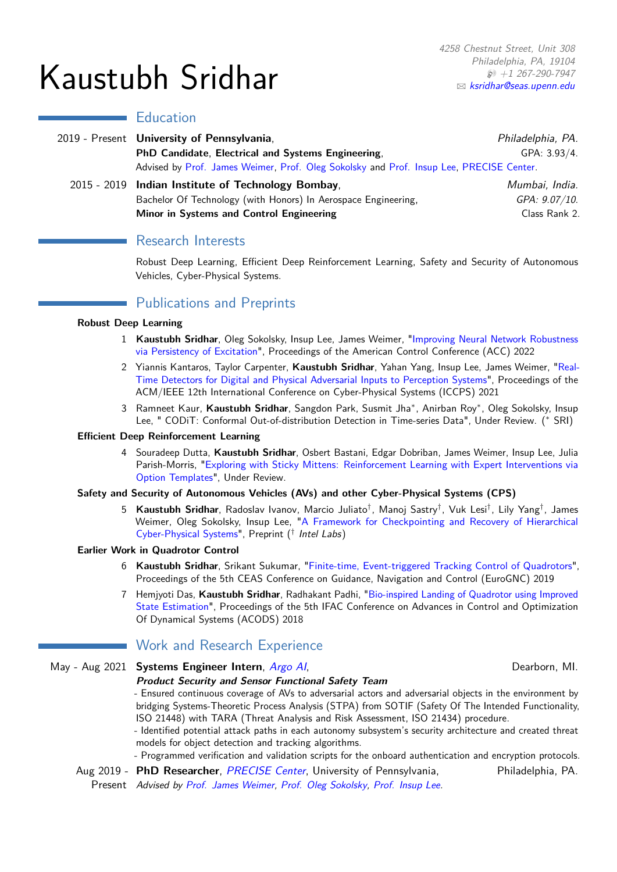# Kaustubh Sridhar

## **Education**

|  | 2019 - Present <b>University of Pennsylvania</b> ,                                      | Philadelphia, PA. |
|--|-----------------------------------------------------------------------------------------|-------------------|
|  | PhD Candidate, Electrical and Systems Engineering,                                      | GPA: 3.93/4.      |
|  | Advised by Prof. James Weimer, Prof. Oleg Sokolsky and Prof. Insup Lee, PRECISE Center. |                   |
|  | 2015 - 2019 Indian Institute of Technology Bombay,                                      | Mumbai, India.    |
|  | Bachelor Of Technology (with Honors) In Aerospace Engineering,                          | GPA: 9.07/10.     |
|  | Minor in Systems and Control Engineering                                                | Class Rank 2.     |

## Research Interests

Robust Deep Learning, Efficient Deep Reinforcement Learning, Safety and Security of Autonomous Vehicles, Cyber-Physical Systems.

# Publications and Preprints

#### **Robust Deep Learning**

- <span id="page-0-0"></span>1 **Kaustubh Sridhar**, Oleg Sokolsky, Insup Lee, James Weimer, ["Improving Neural Network Robustness](https://arxiv.org/abs/2106.02078) [via Persistency of Excitation"](https://arxiv.org/abs/2106.02078), Proceedings of the American Control Conference (ACC) 2022
- <span id="page-0-1"></span>2 Yiannis Kantaros, Taylor Carpenter, **Kaustubh Sridhar**, Yahan Yang, Insup Lee, James Weimer, ["Real-](https://dl.acm.org/doi/10.1145/3450267.3450535)[Time Detectors for Digital and Physical Adversarial Inputs to Perception Systems"](https://dl.acm.org/doi/10.1145/3450267.3450535), Proceedings of the ACM/IEEE 12th International Conference on Cyber-Physical Systems (ICCPS) 2021
- <span id="page-0-2"></span>3 Ramneet Kaur, **Kaustubh Sridhar**, Sangdon Park, Susmit Jha<sup>∗</sup> , Anirban Roy<sup>∗</sup> , Oleg Sokolsky, Insup Lee, " CODiT: Conformal Out-of-distribution Detection in Time-series Data", Under Review. (<sup>∗</sup> SRI)

#### **Efficient Deep Reinforcement Learning**

<span id="page-0-3"></span>4 Souradeep Dutta, **Kaustubh Sridhar**, Osbert Bastani, Edgar Dobriban, James Weimer, Insup Lee, Julia Parish-Morris, ["Exploring with Sticky Mittens: Reinforcement Learning with Expert Interventions via](https://arxiv.org/abs/2202.12967) [Option Templates"](https://arxiv.org/abs/2202.12967), Under Review.

### **Safety and Security of Autonomous Vehicles (AVs) and other Cyber-Physical Systems (CPS)**

<span id="page-0-4"></span>5 **Kaustubh Sridhar**, Radoslav Ivanov, Marcio Juliato<sup>†</sup>, Manoj Sastry<sup>†</sup>, Vuk Lesi<sup>†</sup>, Lily Yang<sup>†</sup>, James Weimer, Oleg Sokolsky, Insup Lee, ["A Framework for Checkpointing and Recovery of Hierarchical](https://drive.google.com/file/d/1s9rYpJYRZ7UUR3u5IDfulorgpkcPfmll/view?usp=sharing) [Cyber-Physical Systems"](https://drive.google.com/file/d/1s9rYpJYRZ7UUR3u5IDfulorgpkcPfmll/view?usp=sharing), Preprint (<sup>†</sup> Intel Labs)

#### **Earlier Work in Quadrotor Control**

- <span id="page-0-5"></span>6 **Kaustubh Sridhar**, Srikant Sukumar, ["Finite-time, Event-triggered Tracking Control of Quadrotors"](https://eurognc19.polimi.it/wp-content/uploads/2019/12/0043_FI.pdf), Proceedings of the 5th CEAS Conference on Guidance, Navigation and Control (EuroGNC) 2019
- 7 Hemjyoti Das, **Kaustubh Sridhar**, Radhakant Padhi, ["Bio-inspired Landing of Quadrotor using Improved](https://sciencedirect.com/science/article/pii/S2405896318302428) [State Estimation"](https://sciencedirect.com/science/article/pii/S2405896318302428), Proceedings of the 5th IFAC Conference on Advances in Control and Optimization Of Dynamical Systems (ACODS) 2018

# **Work and Research Experience**

## May - Aug 2021 **Systems Engineer Intern**, [Argo AI](https://www.argo.ai/), National Communication of Dearborn, MI.

# **Product Security and Sensor Functional Safety Team**

- Ensured continuous coverage of AVs to adversarial actors and adversarial objects in the environment by bridging Systems-Theoretic Process Analysis (STPA) from SOTIF (Safety Of The Intended Functionality, ISO 21448) with TARA (Threat Analysis and Risk Assessment, ISO 21434) procedure.

- Identified potential attack paths in each autonomy subsystem's security architecture and created threat models for object detection and tracking algorithms.

- Programmed verification and validation scripts for the onboard authentication and encryption protocols.

Aug 2019 - PhD Researcher, *[PRECISE Center](https://precise.seas.upenn.edu/)*, University of Pennsylvania, Philadelphia, PA. Present Advised by [Prof. James Weimer,](https://www.seas.upenn.edu/~weimerj/) [Prof. Oleg Sokolsky,](https://www.cis.upenn.edu/~sokolsky/) [Prof. Insup Lee.](https://www.cis.upenn.edu/~lee/home/index.shtml)